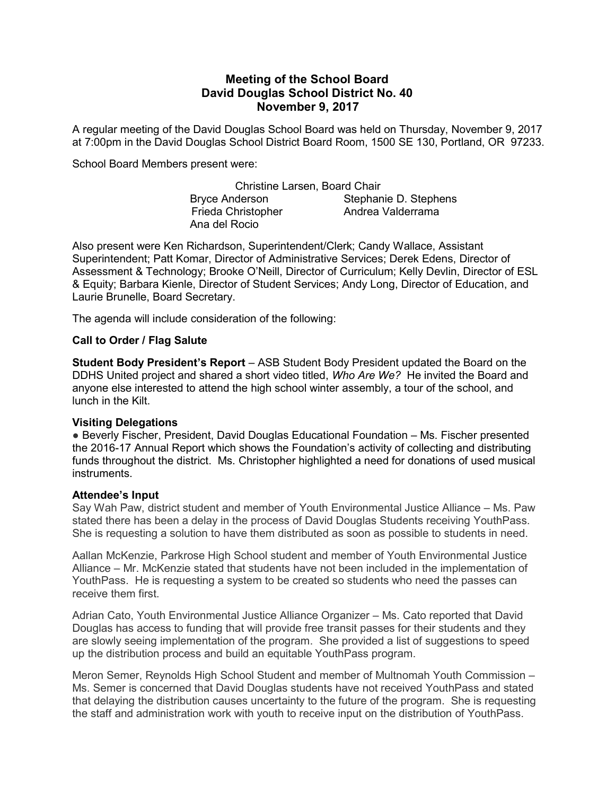# Meeting of the School Board David Douglas School District No. 40 November 9, 2017

A regular meeting of the David Douglas School Board was held on Thursday, November 9, 2017 at 7:00pm in the David Douglas School District Board Room, 1500 SE 130, Portland, OR 97233.

School Board Members present were:

Christine Larsen, Board Chair Bryce Anderson Stephanie D. Stephens Frieda Christopher **Andrea Valderrama** Ana del Rocio

Also present were Ken Richardson, Superintendent/Clerk; Candy Wallace, Assistant Superintendent; Patt Komar, Director of Administrative Services; Derek Edens, Director of Assessment & Technology; Brooke O'Neill, Director of Curriculum; Kelly Devlin, Director of ESL & Equity; Barbara Kienle, Director of Student Services; Andy Long, Director of Education, and Laurie Brunelle, Board Secretary.

The agenda will include consideration of the following:

### Call to Order / Flag Salute

Student Body President's Report – ASB Student Body President updated the Board on the DDHS United project and shared a short video titled, Who Are We? He invited the Board and anyone else interested to attend the high school winter assembly, a tour of the school, and lunch in the Kilt.

### Visiting Delegations

● Beverly Fischer, President, David Douglas Educational Foundation – Ms. Fischer presented the 2016-17 Annual Report which shows the Foundation's activity of collecting and distributing funds throughout the district. Ms. Christopher highlighted a need for donations of used musical instruments.

#### Attendee's Input

Say Wah Paw, district student and member of Youth Environmental Justice Alliance – Ms. Paw stated there has been a delay in the process of David Douglas Students receiving YouthPass. She is requesting a solution to have them distributed as soon as possible to students in need.

Aallan McKenzie, Parkrose High School student and member of Youth Environmental Justice Alliance – Mr. McKenzie stated that students have not been included in the implementation of YouthPass. He is requesting a system to be created so students who need the passes can receive them first.

Adrian Cato, Youth Environmental Justice Alliance Organizer – Ms. Cato reported that David Douglas has access to funding that will provide free transit passes for their students and they are slowly seeing implementation of the program. She provided a list of suggestions to speed up the distribution process and build an equitable YouthPass program.

Meron Semer, Reynolds High School Student and member of Multnomah Youth Commission – Ms. Semer is concerned that David Douglas students have not received YouthPass and stated that delaying the distribution causes uncertainty to the future of the program. She is requesting the staff and administration work with youth to receive input on the distribution of YouthPass.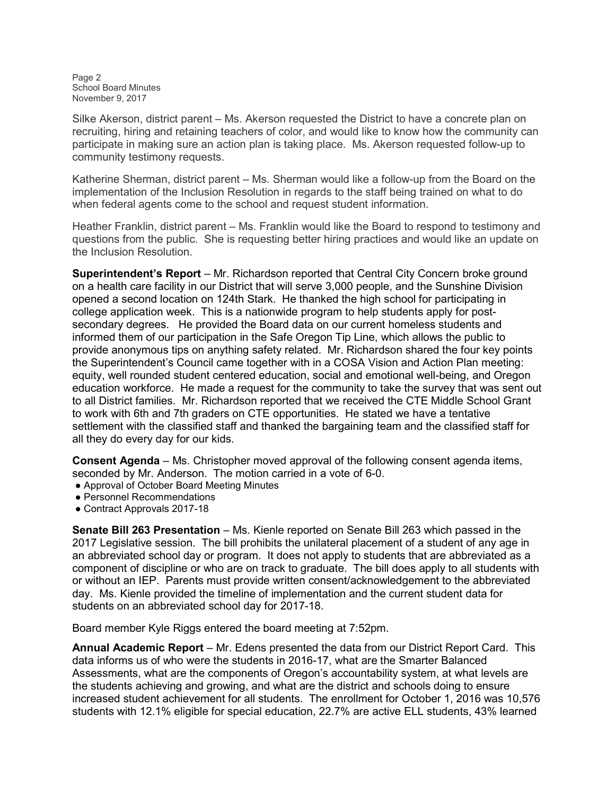Page 2 School Board Minutes November 9, 2017

Silke Akerson, district parent – Ms. Akerson requested the District to have a concrete plan on recruiting, hiring and retaining teachers of color, and would like to know how the community can participate in making sure an action plan is taking place. Ms. Akerson requested follow-up to community testimony requests.

Katherine Sherman, district parent – Ms. Sherman would like a follow-up from the Board on the implementation of the Inclusion Resolution in regards to the staff being trained on what to do when federal agents come to the school and request student information.

Heather Franklin, district parent – Ms. Franklin would like the Board to respond to testimony and questions from the public. She is requesting better hiring practices and would like an update on the Inclusion Resolution.

Superintendent's Report – Mr. Richardson reported that Central City Concern broke ground on a health care facility in our District that will serve 3,000 people, and the Sunshine Division opened a second location on 124th Stark. He thanked the high school for participating in college application week. This is a nationwide program to help students apply for postsecondary degrees. He provided the Board data on our current homeless students and informed them of our participation in the Safe Oregon Tip Line, which allows the public to provide anonymous tips on anything safety related. Mr. Richardson shared the four key points the Superintendent's Council came together with in a COSA Vision and Action Plan meeting: equity, well rounded student centered education, social and emotional well-being, and Oregon education workforce. He made a request for the community to take the survey that was sent out to all District families. Mr. Richardson reported that we received the CTE Middle School Grant to work with 6th and 7th graders on CTE opportunities. He stated we have a tentative settlement with the classified staff and thanked the bargaining team and the classified staff for all they do every day for our kids.

Consent Agenda – Ms. Christopher moved approval of the following consent agenda items, seconded by Mr. Anderson. The motion carried in a vote of 6-0.

- Approval of October Board Meeting Minutes
- Personnel Recommendations
- Contract Approvals 2017-18

Senate Bill 263 Presentation – Ms. Kienle reported on Senate Bill 263 which passed in the 2017 Legislative session. The bill prohibits the unilateral placement of a student of any age in an abbreviated school day or program. It does not apply to students that are abbreviated as a component of discipline or who are on track to graduate. The bill does apply to all students with or without an IEP. Parents must provide written consent/acknowledgement to the abbreviated day. Ms. Kienle provided the timeline of implementation and the current student data for students on an abbreviated school day for 2017-18.

Board member Kyle Riggs entered the board meeting at 7:52pm.

Annual Academic Report – Mr. Edens presented the data from our District Report Card. This data informs us of who were the students in 2016-17, what are the Smarter Balanced Assessments, what are the components of Oregon's accountability system, at what levels are the students achieving and growing, and what are the district and schools doing to ensure increased student achievement for all students. The enrollment for October 1, 2016 was 10,576 students with 12.1% eligible for special education, 22.7% are active ELL students, 43% learned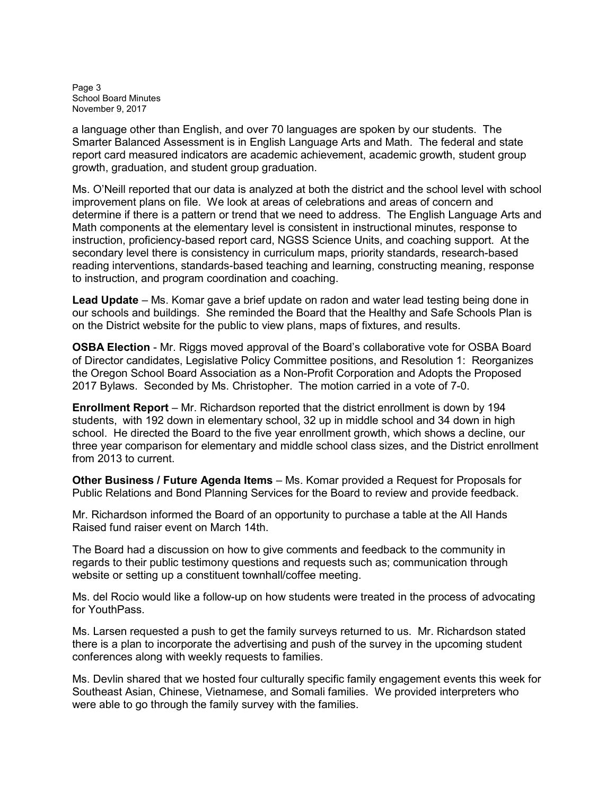Page 3 School Board Minutes November 9, 2017

a language other than English, and over 70 languages are spoken by our students. The Smarter Balanced Assessment is in English Language Arts and Math. The federal and state report card measured indicators are academic achievement, academic growth, student group growth, graduation, and student group graduation.

Ms. O'Neill reported that our data is analyzed at both the district and the school level with school improvement plans on file. We look at areas of celebrations and areas of concern and determine if there is a pattern or trend that we need to address. The English Language Arts and Math components at the elementary level is consistent in instructional minutes, response to instruction, proficiency-based report card, NGSS Science Units, and coaching support. At the secondary level there is consistency in curriculum maps, priority standards, research-based reading interventions, standards-based teaching and learning, constructing meaning, response to instruction, and program coordination and coaching.

Lead Update – Ms. Komar gave a brief update on radon and water lead testing being done in our schools and buildings. She reminded the Board that the Healthy and Safe Schools Plan is on the District website for the public to view plans, maps of fixtures, and results.

OSBA Election - Mr. Riggs moved approval of the Board's collaborative vote for OSBA Board of Director candidates, Legislative Policy Committee positions, and Resolution 1: Reorganizes the Oregon School Board Association as a Non-Profit Corporation and Adopts the Proposed 2017 Bylaws. Seconded by Ms. Christopher. The motion carried in a vote of 7-0.

Enrollment Report – Mr. Richardson reported that the district enrollment is down by 194 students, with 192 down in elementary school, 32 up in middle school and 34 down in high school. He directed the Board to the five year enrollment growth, which shows a decline, our three year comparison for elementary and middle school class sizes, and the District enrollment from 2013 to current.

Other Business / Future Agenda Items – Ms. Komar provided a Request for Proposals for Public Relations and Bond Planning Services for the Board to review and provide feedback.

Mr. Richardson informed the Board of an opportunity to purchase a table at the All Hands Raised fund raiser event on March 14th.

The Board had a discussion on how to give comments and feedback to the community in regards to their public testimony questions and requests such as; communication through website or setting up a constituent townhall/coffee meeting.

Ms. del Rocio would like a follow-up on how students were treated in the process of advocating for YouthPass.

Ms. Larsen requested a push to get the family surveys returned to us. Mr. Richardson stated there is a plan to incorporate the advertising and push of the survey in the upcoming student conferences along with weekly requests to families.

Ms. Devlin shared that we hosted four culturally specific family engagement events this week for Southeast Asian, Chinese, Vietnamese, and Somali families. We provided interpreters who were able to go through the family survey with the families.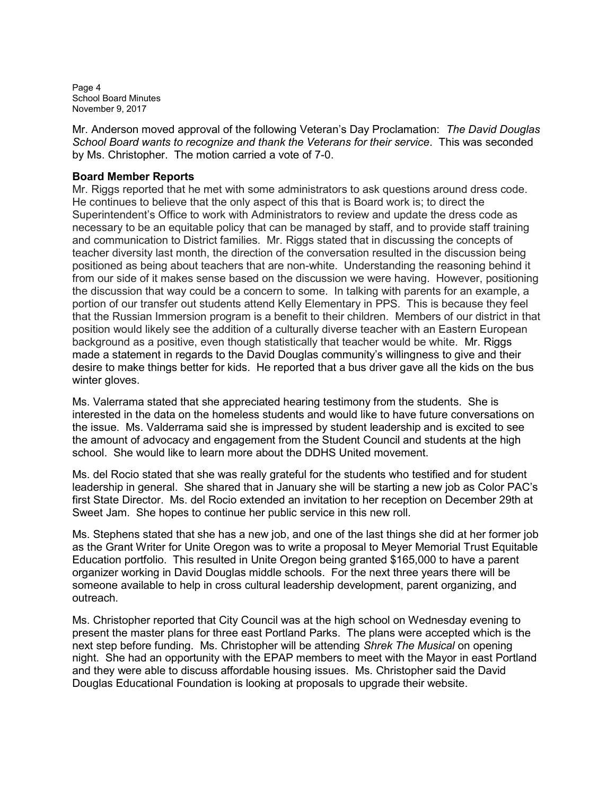Page 4 School Board Minutes November 9, 2017

Mr. Anderson moved approval of the following Veteran's Day Proclamation: The David Douglas School Board wants to recognize and thank the Veterans for their service. This was seconded by Ms. Christopher. The motion carried a vote of 7-0.

## Board Member Reports

Mr. Riggs reported that he met with some administrators to ask questions around dress code. He continues to believe that the only aspect of this that is Board work is; to direct the Superintendent's Office to work with Administrators to review and update the dress code as necessary to be an equitable policy that can be managed by staff, and to provide staff training and communication to District families. Mr. Riggs stated that in discussing the concepts of teacher diversity last month, the direction of the conversation resulted in the discussion being positioned as being about teachers that are non-white. Understanding the reasoning behind it from our side of it makes sense based on the discussion we were having. However, positioning the discussion that way could be a concern to some. In talking with parents for an example, a portion of our transfer out students attend Kelly Elementary in PPS. This is because they feel that the Russian Immersion program is a benefit to their children. Members of our district in that position would likely see the addition of a culturally diverse teacher with an Eastern European background as a positive, even though statistically that teacher would be white. Mr. Riggs made a statement in regards to the David Douglas community's willingness to give and their desire to make things better for kids. He reported that a bus driver gave all the kids on the bus winter gloves.

Ms. Valerrama stated that she appreciated hearing testimony from the students. She is interested in the data on the homeless students and would like to have future conversations on the issue. Ms. Valderrama said she is impressed by student leadership and is excited to see the amount of advocacy and engagement from the Student Council and students at the high school. She would like to learn more about the DDHS United movement.

Ms. del Rocio stated that she was really grateful for the students who testified and for student leadership in general. She shared that in January she will be starting a new job as Color PAC's first State Director. Ms. del Rocio extended an invitation to her reception on December 29th at Sweet Jam. She hopes to continue her public service in this new roll.

Ms. Stephens stated that she has a new job, and one of the last things she did at her former job as the Grant Writer for Unite Oregon was to write a proposal to Meyer Memorial Trust Equitable Education portfolio. This resulted in Unite Oregon being granted \$165,000 to have a parent organizer working in David Douglas middle schools. For the next three years there will be someone available to help in cross cultural leadership development, parent organizing, and outreach.

Ms. Christopher reported that City Council was at the high school on Wednesday evening to present the master plans for three east Portland Parks. The plans were accepted which is the next step before funding. Ms. Christopher will be attending Shrek The Musical on opening night. She had an opportunity with the EPAP members to meet with the Mayor in east Portland and they were able to discuss affordable housing issues. Ms. Christopher said the David Douglas Educational Foundation is looking at proposals to upgrade their website.